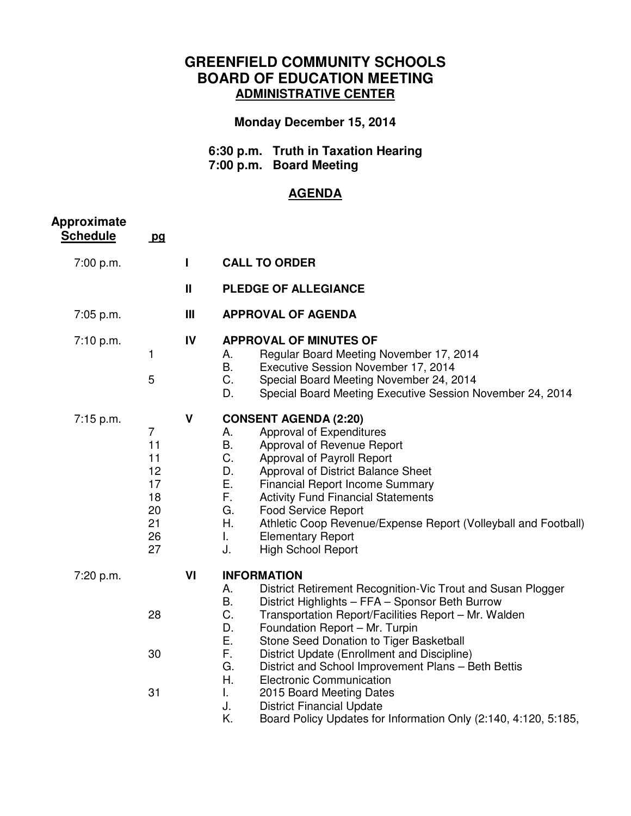## **GREENFIELD COMMUNITY SCHOOLS BOARD OF EDUCATION MEETING ADMINISTRATIVE CENTER**

## **Monday December 15, 2014**

 **6:30 p.m. Truth in Taxation Hearing 7:00 p.m. Board Meeting** 

## **AGENDA**

| <b>Approximate</b><br><b>Schedule</b> | pq                                                                   |                |                                                                                                                                                                                                                                                                                                                                                                                                                                                                                                                                                                                                                         |
|---------------------------------------|----------------------------------------------------------------------|----------------|-------------------------------------------------------------------------------------------------------------------------------------------------------------------------------------------------------------------------------------------------------------------------------------------------------------------------------------------------------------------------------------------------------------------------------------------------------------------------------------------------------------------------------------------------------------------------------------------------------------------------|
| 7:00 p.m.                             |                                                                      | L              | <b>CALL TO ORDER</b>                                                                                                                                                                                                                                                                                                                                                                                                                                                                                                                                                                                                    |
|                                       |                                                                      | $\mathbf{II}$  | <b>PLEDGE OF ALLEGIANCE</b>                                                                                                                                                                                                                                                                                                                                                                                                                                                                                                                                                                                             |
| 7:05 p.m.                             |                                                                      | $\mathbf{III}$ | <b>APPROVAL OF AGENDA</b>                                                                                                                                                                                                                                                                                                                                                                                                                                                                                                                                                                                               |
| 7:10 p.m.                             | 1<br>5                                                               | IV             | <b>APPROVAL OF MINUTES OF</b><br>Regular Board Meeting November 17, 2014<br>А.<br>В.<br>Executive Session November 17, 2014<br>C.<br>Special Board Meeting November 24, 2014<br>D.<br>Special Board Meeting Executive Session November 24, 2014                                                                                                                                                                                                                                                                                                                                                                         |
| $7:15$ p.m.                           | $\overline{7}$<br>11<br>11<br>12<br>17<br>18<br>20<br>21<br>26<br>27 | V              | <b>CONSENT AGENDA (2:20)</b><br>Approval of Expenditures<br>А.<br>B.<br>Approval of Revenue Report<br>C.<br>Approval of Payroll Report<br>D.<br>Approval of District Balance Sheet<br>Ε.<br><b>Financial Report Income Summary</b><br>F.<br><b>Activity Fund Financial Statements</b><br>G.<br><b>Food Service Report</b><br>Η.<br>Athletic Coop Revenue/Expense Report (Volleyball and Football)<br>L.<br><b>Elementary Report</b><br>J.<br><b>High School Report</b>                                                                                                                                                  |
| 7:20 p.m.                             | 28<br>30<br>31                                                       | VI             | <b>INFORMATION</b><br>District Retirement Recognition-Vic Trout and Susan Plogger<br>А.<br>Β.<br>District Highlights - FFA - Sponsor Beth Burrow<br>C.<br>Transportation Report/Facilities Report - Mr. Walden<br>D.<br>Foundation Report - Mr. Turpin<br>Ε.<br>Stone Seed Donation to Tiger Basketball<br>F.<br>District Update (Enrollment and Discipline)<br>G.<br>District and School Improvement Plans - Beth Bettis<br>Η.<br><b>Electronic Communication</b><br>L.<br>2015 Board Meeting Dates<br>J.<br><b>District Financial Update</b><br>K.<br>Board Policy Updates for Information Only (2:140, 4:120, 5:185, |